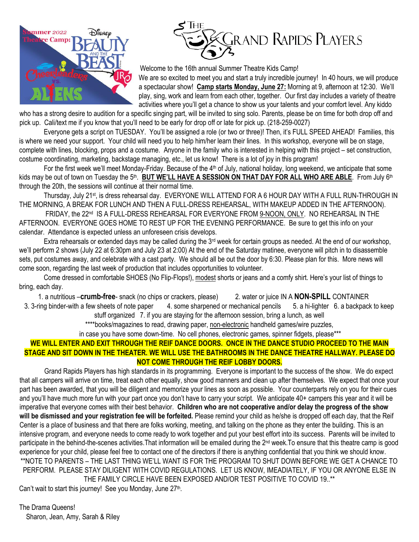



Welcome to the 16th annual Summer Theatre Kids Camp!

We are so excited to meet you and start a truly incredible journey! In 40 hours, we will produce a spectacular show! **Camp starts Monday, June 27:** Morning at 9, afternoon at 12:30. We'll play, sing, work and learn from each other, together. Our first day includes a variety of theatre activities where you'll get a chance to show us your talents and your comfort level. Any kiddo

who has a strong desire to audition for a specific singing part, will be invited to sing solo. Parents, please be on time for both drop off and pick up. Cali/text me if you know that you'll need to be early for drop off or late for pick up. (218-259-0027)

Everyone gets a script on TUESDAY. You'll be assigned a role (or two or three)! Then, it's FULL SPEED AHEAD! Families, this is where we need your support. Your child will need you to help him/her learn their lines. In this workshop, everyone will be on stage, complete with lines, blocking, props and a costume. Anyone in the family who is interested in helping with this project – set construction, costume coordinating, marketing, backstage managing, etc., let us know! There is a lot of joy in this program!

For the first week we'll meet Monday-Friday. Because of the  $4<sup>th</sup>$  of July, national holiday, long weekend, we anticipate that some kids may be out of town on Tuesday the 5<sup>th</sup>. BUT WE'LL HAVE A SESSION ON THAT DAY FOR ALL WHO ARE ABLE. From July 6<sup>th</sup> through the 20th, the sessions will continue at their normal time.

Thursday, July 21<sup>st</sup>, is dress rehearsal day. EVERYONE WILL ATTEND FOR A 6 HOUR DAY WITH A FULL RUN-THROUGH IN THE MORNING, A BREAK FOR LUNCH AND THEN A FULL-DRESS REHEARSAL, WITH MAKEUP ADDED IN THE AFTERNOON).

FRIDAY, the 22<sup>nd</sup> IS A FULL-DRESS REHEARSAL FOR EVERYONE FROM 9-NOON, ONLY. NO REHEARSAL IN THE AFTERNOON. EVERYONE GOES HOME TO REST UP FOR THE EVENING PERFORMANCE. Be sure to get this info on your calendar. Attendance is expected unless an unforeseen crisis develops.

Extra rehearsals or extended days may be called during the 3<sup>rd</sup> week for certain groups as needed. At the end of our workshop, we'll perform 2 shows (July 22 at 6:30pm and July 23 at 2:00) At the end of the Saturday matinee, everyone will pitch in to disassemble sets, put costumes away, and celebrate with a cast party. We should all be out the door by 6:30. Please plan for this. More news will come soon, regarding the last week of production that includes opportunities to volunteer.

Come dressed in comfortable SHOES (No Flip-Flops!), modest shorts or jeans and a comfy shirt. Here's your list of things to bring, each day.

1. a nutritious –**crumb-free**- snack (no chips or crackers, please) 2. water or juice IN A **NON-SPILL** CONTAINER

3. 3-ring binder-with a few sheets of note paper 4. some sharpened or mechanical pencils 5. a hi-lighter 6. a backpack to keep stuff organized 7. if you are staying for the afternoon session, bring a lunch, as well

\*\*\*\*books/magazines to read, drawing paper, non-electronic handheld games/wire puzzles,

in case you have some down-time. No cell phones, electronic games, spinner fidgets, please\*\*\*

## **WE WILL ENTER AND EXIT THROUGH THE REIF DANCE DOORS. ONCE IN THE DANCE STUDIO PROCEED TO THE MAIN STAGE AND SIT DOWN IN THE THEATER. WE WILL USE THE BATHROOMS IN THE DANCE THEATRE HALLWAY. PLEASE DO NOT COME THROUGH THE REIF LOBBY DOORS.**

Grand Rapids Players has high standards in its programming. Everyone is important to the success of the show. We do expect that all campers will arrive on time, treat each other equally, show good manners and clean up after themselves. We expect that once your part has been awarded, that you will be diligent and memorize your lines as soon as possible. Your counterparts rely on you for their cues and you'll have much more fun with your part once you don't have to carry your script. We anticipate 40+ campers this year and it will be imperative that everyone comes with their best behavior. **Children who are not cooperative and/or delay the progress of the show will be dismissed and your registration fee will be forfeited.** Please remind your child as he/she is dropped off each day, that the Reif Center is a place of business and that there are folks working, meeting, and talking on the phone as they enter the building. This is an intensive program, and everyone needs to come ready to work together and put your best effort into its success. Parents will be invited to participate in the behind-the-scenes activities. That information will be emailed during the 2<sup>nd</sup> week. To ensure that this theatre camp is good experience for your child, please feel free to contact one of the directors if there is anything confidential that you think we should know. \*\*NOTE TO PARENTS – THE LAST THING WE'LL WANT IS FOR THE PROGRAM TO SHUT DOWN BEFORE WE GET A CHANCE TO PERFORM. PLEASE STAY DILIGENT WITH COVID REGULATIONS. LET US KNOW, IMEADIATELY, IF YOU OR ANYONE ELSE IN THE FAMILY CIRCLE HAVE BEEN EXPOSED AND/OR TEST POSITIVE TO COVID 19..\*\*

Can't wait to start this journey! See you Monday, June 27<sup>th</sup>.

The Drama Queens! Sharon, Jean, Amy, Sarah & Riley